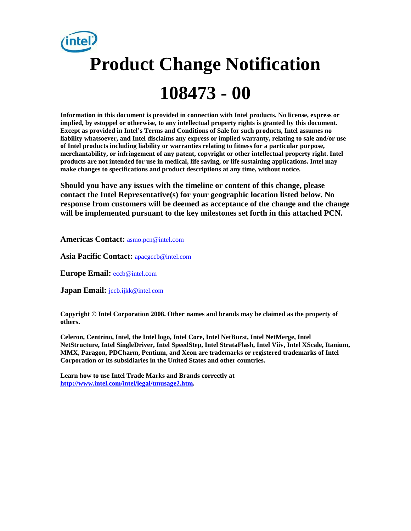# **Product Change Notification 108473 - 00**

**Information in this document is provided in connection with Intel products. No license, express or implied, by estoppel or otherwise, to any intellectual property rights is granted by this document. Except as provided in Intel's Terms and Conditions of Sale for such products, Intel assumes no liability whatsoever, and Intel disclaims any express or implied warranty, relating to sale and/or use of Intel products including liability or warranties relating to fitness for a particular purpose, merchantability, or infringement of any patent, copyright or other intellectual property right. Intel products are not intended for use in medical, life saving, or life sustaining applications. Intel may make changes to specifications and product descriptions at any time, without notice.** 

**Should you have any issues with the timeline or content of this change, please contact the Intel Representative(s) for your geographic location listed below. No response from customers will be deemed as acceptance of the change and the change will be implemented pursuant to the key milestones set forth in this attached PCN.** 

**Americas Contact:** [asmo.pcn@intel.com](mailto:asmo.pcn@intel.com) 

**Asia Pacific Contact:** [apacgccb@intel.com](mailto:apacgccb@intel.com) 

**Europe Email:** [eccb@intel.com](mailto:eccb@intel.com) 

**Japan Email: jccb.ijkk@intel.com** 

**Copyright © Intel Corporation 2008. Other names and brands may be claimed as the property of others.**

**Celeron, Centrino, Intel, the Intel logo, Intel Core, Intel NetBurst, Intel NetMerge, Intel NetStructure, Intel SingleDriver, Intel SpeedStep, Intel StrataFlash, Intel Viiv, Intel XScale, Itanium, MMX, Paragon, PDCharm, Pentium, and Xeon are trademarks or registered trademarks of Intel Corporation or its subsidiaries in the United States and other countries.** 

**Learn how to use Intel Trade Marks and Brands correctly at [http://www.intel.com/intel/legal/tmusage2.htm.](http://www.intel.com/intel/legal/tmusage2.htm)**